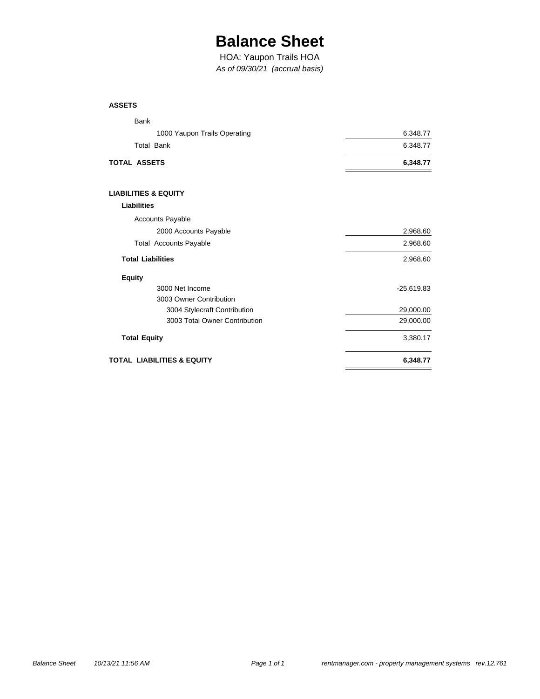## **Balance Sheet**

*As of 09/30/21 (accrual basis)* HOA: Yaupon Trails HOA

#### **ASSETS**

| Bank                            |              |
|---------------------------------|--------------|
| 1000 Yaupon Trails Operating    | 6,348.77     |
| <b>Total Bank</b>               | 6,348.77     |
| TOTAL ASSETS                    | 6,348.77     |
| <b>LIABILITIES &amp; EQUITY</b> |              |
| <b>Liabilities</b>              |              |
| <b>Accounts Payable</b>         |              |
| 2000 Accounts Payable           | 2,968.60     |
| <b>Total Accounts Payable</b>   | 2,968.60     |
| <b>Total Liabilities</b>        | 2,968.60     |
| <b>Equity</b>                   |              |
| 3000 Net Income                 | $-25,619.83$ |
| 3003 Owner Contribution         |              |
| 3004 Stylecraft Contribution    | 29,000.00    |
| 3003 Total Owner Contribution   | 29,000.00    |
| <b>Total Equity</b>             | 3,380.17     |
| TOTAL LIABILITIES & EQUITY      | 6,348.77     |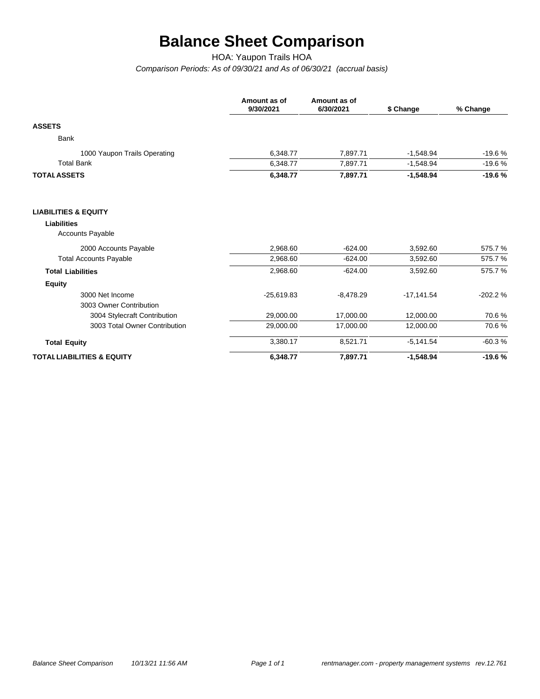# **Balance Sheet Comparison**

HOA: Yaupon Trails HOA

*Comparison Periods: As of 09/30/21 and As of 06/30/21 (accrual basis)*

|                                        | Amount as of<br>9/30/2021 | Amount as of<br>6/30/2021 | \$ Change    | % Change  |  |
|----------------------------------------|---------------------------|---------------------------|--------------|-----------|--|
| <b>ASSETS</b>                          |                           |                           |              |           |  |
| <b>Bank</b>                            |                           |                           |              |           |  |
| 1000 Yaupon Trails Operating           | 6,348.77                  | 7,897.71                  | $-1,548.94$  | $-19.6%$  |  |
| <b>Total Bank</b>                      | 6,348.77                  | 7,897.71                  | $-1,548.94$  | $-19.6%$  |  |
| <b>TOTAL ASSETS</b>                    | 6,348.77                  | 7,897.71                  | $-1,548.94$  | $-19.6%$  |  |
| <b>LIABILITIES &amp; EQUITY</b>        |                           |                           |              |           |  |
| <b>Liabilities</b><br>Accounts Payable |                           |                           |              |           |  |
| 2000 Accounts Payable                  | 2,968.60                  | $-624.00$                 | 3,592.60     | 575.7%    |  |
| <b>Total Accounts Payable</b>          | 2,968.60                  | $-624.00$                 | 3,592.60     | 575.7%    |  |
| <b>Total Liabilities</b>               | 2,968.60                  | $-624.00$                 | 3,592.60     | 575.7%    |  |
| <b>Equity</b>                          |                           |                           |              |           |  |
| 3000 Net Income                        | $-25,619.83$              | $-8,478.29$               | $-17,141.54$ | $-202.2%$ |  |
| 3003 Owner Contribution                |                           |                           |              |           |  |
| 3004 Stylecraft Contribution           | 29,000.00                 | 17,000.00                 | 12,000.00    | 70.6%     |  |
| 3003 Total Owner Contribution          | 29,000.00                 | 17,000.00                 | 12,000.00    | 70.6%     |  |
| <b>Total Equity</b>                    | 3,380.17                  | 8,521.71                  | $-5,141.54$  | $-60.3%$  |  |
| <b>TOTAL LIABILITIES &amp; EQUITY</b>  | 6,348.77                  | 7,897.71                  | $-1,548.94$  | $-19.6%$  |  |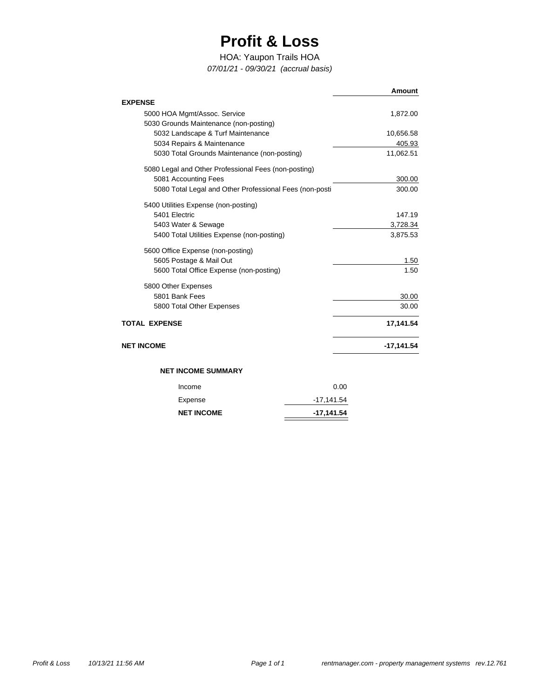## **Profit & Loss**

### HOA: Yaupon Trails HOA

*07/01/21 - 09/30/21 (accrual basis)*

|                                                                        | Amount       |       |
|------------------------------------------------------------------------|--------------|-------|
| <b>EXPENSE</b>                                                         |              |       |
| 5000 HOA Mgmt/Assoc. Service<br>5030 Grounds Maintenance (non-posting) | 1,872.00     |       |
| 5032 Landscape & Turf Maintenance                                      | 10,656.58    |       |
| 5034 Repairs & Maintenance                                             | 405.93       |       |
| 5030 Total Grounds Maintenance (non-posting)                           | 11,062.51    |       |
| 5080 Legal and Other Professional Fees (non-posting)                   |              |       |
| 5081 Accounting Fees                                                   | 300.00       |       |
| 5080 Total Legal and Other Professional Fees (non-posti                | 300.00       |       |
| 5400 Utilities Expense (non-posting)                                   |              |       |
| 5401 Electric                                                          | 147.19       |       |
| 5403 Water & Sewage                                                    | 3,728.34     |       |
| 5400 Total Utilities Expense (non-posting)                             | 3,875.53     |       |
| 5600 Office Expense (non-posting)                                      |              |       |
| 5605 Postage & Mail Out                                                |              | 1.50  |
| 5600 Total Office Expense (non-posting)                                |              | 1.50  |
| 5800 Other Expenses                                                    |              |       |
| 5801 Bank Fees                                                         |              | 30.00 |
| 5800 Total Other Expenses                                              |              | 30.00 |
| <b>TOTAL EXPENSE</b>                                                   | 17,141.54    |       |
| <b>NET INCOME</b>                                                      | $-17,141.54$ |       |
| <b>NET INCOME SUMMARY</b>                                              |              |       |
|                                                                        |              |       |
| Income                                                                 | 0.00         |       |
| Expense                                                                | $-17,141.54$ |       |
| <b>NET INCOME</b>                                                      | $-17,141.54$ |       |

 $\overline{\phantom{0}}$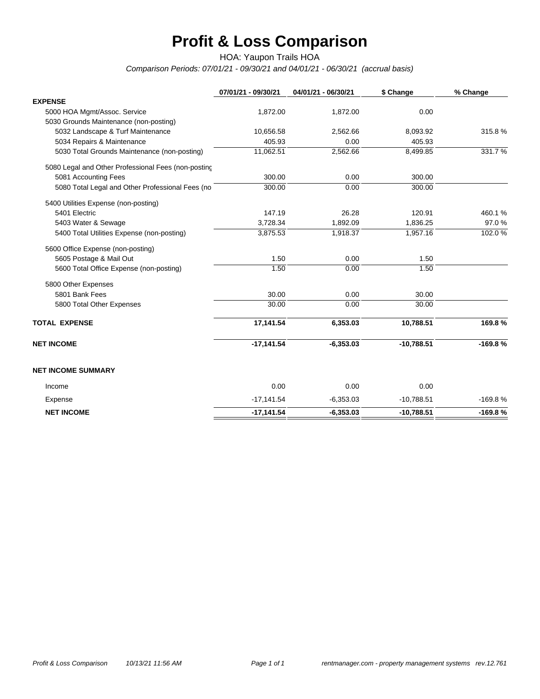# **Profit & Loss Comparison**

HOA: Yaupon Trails HOA

*Comparison Periods: 07/01/21 - 09/30/21 and 04/01/21 - 06/30/21 (accrual basis)*

|                                                     | 07/01/21 - 09/30/21 | 04/01/21 - 06/30/21 | \$ Change    | % Change  |
|-----------------------------------------------------|---------------------|---------------------|--------------|-----------|
| <b>EXPENSE</b>                                      |                     |                     |              |           |
| 5000 HOA Mgmt/Assoc. Service                        | 1,872.00            | 1,872.00            | 0.00         |           |
| 5030 Grounds Maintenance (non-posting)              |                     |                     |              |           |
| 5032 Landscape & Turf Maintenance                   | 10,656.58           | 2,562.66            | 8,093.92     | 315.8%    |
| 5034 Repairs & Maintenance                          | 405.93              | 0.00                | 405.93       |           |
| 5030 Total Grounds Maintenance (non-posting)        | 11,062.51           | 2,562.66            | 8,499.85     | 331.7%    |
| 5080 Legal and Other Professional Fees (non-posting |                     |                     |              |           |
| 5081 Accounting Fees                                | 300.00              | 0.00                | 300.00       |           |
| 5080 Total Legal and Other Professional Fees (no    | 300.00              | 0.00                | 300.00       |           |
| 5400 Utilities Expense (non-posting)                |                     |                     |              |           |
| 5401 Electric                                       | 147.19              | 26.28               | 120.91       | 460.1%    |
| 5403 Water & Sewage                                 | 3,728.34            | 1,892.09            | 1,836.25     | 97.0%     |
| 5400 Total Utilities Expense (non-posting)          | 3,875.53            | 1,918.37            | 1,957.16     | 102.0%    |
| 5600 Office Expense (non-posting)                   |                     |                     |              |           |
| 5605 Postage & Mail Out                             | 1.50                | 0.00                | 1.50         |           |
| 5600 Total Office Expense (non-posting)             | 1.50                | 0.00                | 1.50         |           |
| 5800 Other Expenses                                 |                     |                     |              |           |
| 5801 Bank Fees                                      | 30.00               | 0.00                | 30.00        |           |
| 5800 Total Other Expenses                           | 30.00               | 0.00                | 30.00        |           |
| <b>TOTAL EXPENSE</b>                                | 17,141.54           | 6,353.03            | 10,788.51    | 169.8%    |
| <b>NET INCOME</b>                                   | $-17,141.54$        | $-6,353.03$         | $-10,788.51$ | $-169.8%$ |
| <b>NET INCOME SUMMARY</b>                           |                     |                     |              |           |
| Income                                              | 0.00                | 0.00                | 0.00         |           |
| Expense                                             | $-17,141.54$        | $-6,353.03$         | $-10,788.51$ | $-169.8%$ |
| <b>NET INCOME</b>                                   | $-17,141.54$        | $-6,353.03$         | $-10,788.51$ | $-169.8%$ |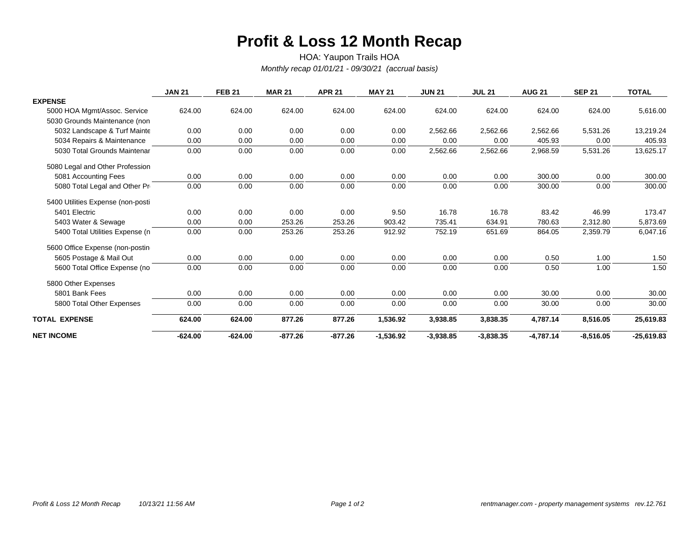### **Profit & Loss 12 Month Recap**

*Monthly recap 01/01/21 - 09/30/21 (accrual basis)* HOA: Yaupon Trails HOA

|                                   | <b>JAN 21</b> | <b>FEB 21</b> | <b>MAR 21</b> | <b>APR 21</b> | <b>MAY 21</b> | <b>JUN 21</b> | <b>JUL 21</b> | <b>AUG 21</b> | <b>SEP 21</b> | <b>TOTAL</b> |
|-----------------------------------|---------------|---------------|---------------|---------------|---------------|---------------|---------------|---------------|---------------|--------------|
| <b>EXPENSE</b>                    |               |               |               |               |               |               |               |               |               |              |
| 5000 HOA Mgmt/Assoc. Service      | 624.00        | 624.00        | 624.00        | 624.00        | 624.00        | 624.00        | 624.00        | 624.00        | 624.00        | 5,616.00     |
| 5030 Grounds Maintenance (non     |               |               |               |               |               |               |               |               |               |              |
| 5032 Landscape & Turf Mainte      | 0.00          | 0.00          | 0.00          | 0.00          | 0.00          | 2,562.66      | 2,562.66      | 2,562.66      | 5,531.26      | 13,219.24    |
| 5034 Repairs & Maintenance        | 0.00          | 0.00          | 0.00          | 0.00          | 0.00          | 0.00          | 0.00          | 405.93        | 0.00          | 405.93       |
| 5030 Total Grounds Maintenar      | 0.00          | 0.00          | 0.00          | 0.00          | 0.00          | 2,562.66      | 2,562.66      | 2,968.59      | 5,531.26      | 13,625.17    |
| 5080 Legal and Other Profession   |               |               |               |               |               |               |               |               |               |              |
| 5081 Accounting Fees              | 0.00          | 0.00          | 0.00          | 0.00          | 0.00          | 0.00          | 0.00          | 300.00        | 0.00          | 300.00       |
| 5080 Total Legal and Other Pro    | 0.00          | 0.00          | 0.00          | 0.00          | 0.00          | 0.00          | 0.00          | 300.00        | 0.00          | 300.00       |
| 5400 Utilities Expense (non-posti |               |               |               |               |               |               |               |               |               |              |
| 5401 Electric                     | 0.00          | 0.00          | 0.00          | 0.00          | 9.50          | 16.78         | 16.78         | 83.42         | 46.99         | 173.47       |
| 5403 Water & Sewage               | 0.00          | 0.00          | 253.26        | 253.26        | 903.42        | 735.41        | 634.91        | 780.63        | 2,312.80      | 5,873.69     |
| 5400 Total Utilities Expense (n   | 0.00          | 0.00          | 253.26        | 253.26        | 912.92        | 752.19        | 651.69        | 864.05        | 2,359.79      | 6,047.16     |
| 5600 Office Expense (non-posting  |               |               |               |               |               |               |               |               |               |              |
| 5605 Postage & Mail Out           | 0.00          | 0.00          | 0.00          | 0.00          | 0.00          | 0.00          | 0.00          | 0.50          | 1.00          | 1.50         |
| 5600 Total Office Expense (no     | 0.00          | 0.00          | 0.00          | 0.00          | 0.00          | 0.00          | 0.00          | 0.50          | 1.00          | 1.50         |
| 5800 Other Expenses               |               |               |               |               |               |               |               |               |               |              |
| 5801 Bank Fees                    | 0.00          | 0.00          | 0.00          | 0.00          | 0.00          | 0.00          | 0.00          | 30.00         | 0.00          | 30.00        |
| 5800 Total Other Expenses         | 0.00          | 0.00          | 0.00          | 0.00          | 0.00          | 0.00          | 0.00          | 30.00         | 0.00          | 30.00        |
| <b>TOTAL EXPENSE</b>              | 624.00        | 624.00        | 877.26        | 877.26        | 1,536.92      | 3,938.85      | 3,838.35      | 4,787.14      | 8,516.05      | 25,619.83    |
| <b>NET INCOME</b>                 | $-624.00$     | $-624.00$     | $-877.26$     | $-877.26$     | $-1,536.92$   | $-3,938.85$   | $-3,838.35$   | $-4,787.14$   | $-8,516.05$   | $-25,619.83$ |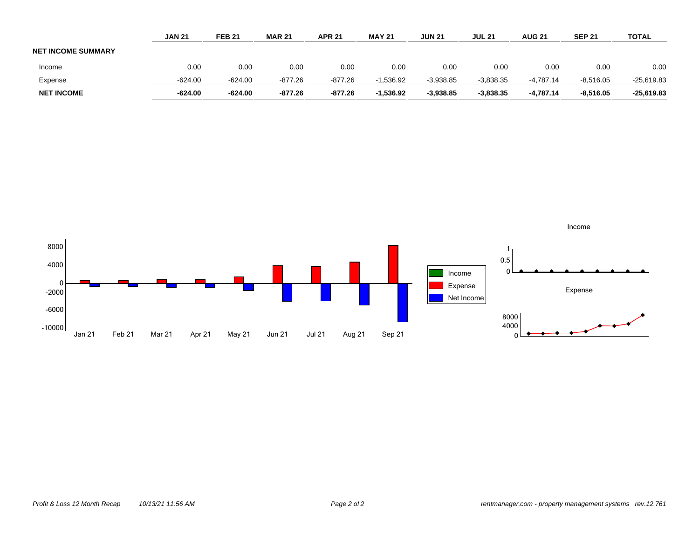|                           | <b>JAN 21</b> | <b>FEB 21</b> | <b>MAR 21</b> | <b>APR 21</b> | <b>MAY 21</b> | <b>JUN 21</b> | <b>JUL 21</b> | <b>AUG 21</b> | <b>SEP 21</b> | <b>TOTAL</b> |
|---------------------------|---------------|---------------|---------------|---------------|---------------|---------------|---------------|---------------|---------------|--------------|
| <b>NET INCOME SUMMARY</b> |               |               |               |               |               |               |               |               |               |              |
| Income                    | 0.00          | 0.00          | 0.00          | 0.00          | 0.00          | 0.00          | 0.00          | 0.00          | 0.00          | 0.00         |
| Expense                   | $-624.00$     | $-624.00$     | $-877.26$     | $-877.26$     | $-1,536.92$   | $-3,938.85$   | $-3,838.35$   | -4.787.14     | $-8.516.05$   | $-25,619.83$ |
| <b>NET INCOME</b>         | $-624.00$     | $-624.00$     | $-877.26$     | $-877.26$     | $-1.536.92$   | $-3.938.85$   | $-3.838.35$   | $-4.787.14$   | $-8.516.05$   | $-25,619.83$ |

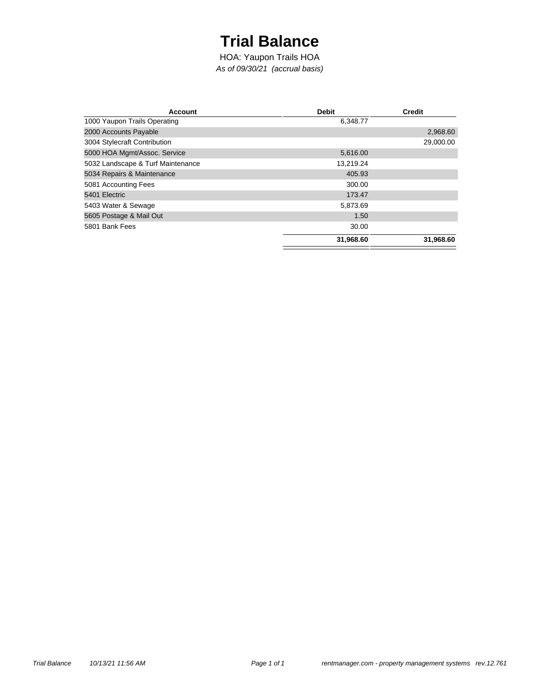## **Trial Balance**

*As of 09/30/21 (accrual basis)* HOA: Yaupon Trails HOA

| <b>Account</b>                    | <b>Debit</b> | <b>Credit</b> |
|-----------------------------------|--------------|---------------|
| 1000 Yaupon Trails Operating      | 6,348.77     |               |
| 2000 Accounts Payable             |              | 2,968.60      |
| 3004 Stylecraft Contribution      |              | 29,000.00     |
| 5000 HOA Mgmt/Assoc. Service      | 5,616.00     |               |
| 5032 Landscape & Turf Maintenance | 13,219.24    |               |
| 5034 Repairs & Maintenance        | 405.93       |               |
| 5081 Accounting Fees              | 300.00       |               |
| 5401 Electric                     | 173.47       |               |
| 5403 Water & Sewage               | 5,873.69     |               |
| 5605 Postage & Mail Out           | 1.50         |               |
| 5801 Bank Fees                    | 30.00        |               |
|                                   | 31,968.60    | 31,968.60     |